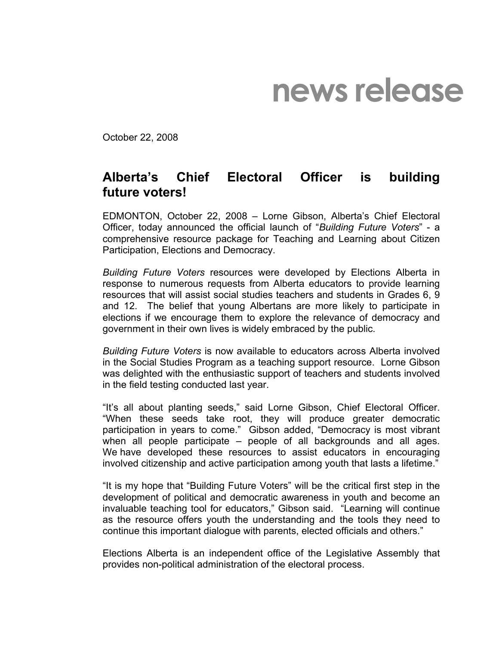## **news release**

October 22, 2008

## **Alberta's Chief Electoral Officer is building future voters!**

EDMONTON, October 22, 2008 – Lorne Gibson, Alberta's Chief Electoral Officer, today announced the official launch of "*Building Future Voters*" - a comprehensive resource package for Teaching and Learning about Citizen Participation, Elections and Democracy.

*Building Future Voters* resources were developed by Elections Alberta in response to numerous requests from Alberta educators to provide learning resources that will assist social studies teachers and students in Grades 6, 9 and 12. The belief that young Albertans are more likely to participate in elections if we encourage them to explore the relevance of democracy and government in their own lives is widely embraced by the public.

*Building Future Voters* is now available to educators across Alberta involved in the Social Studies Program as a teaching support resource. Lorne Gibson was delighted with the enthusiastic support of teachers and students involved in the field testing conducted last year.

"It's all about planting seeds," said Lorne Gibson, Chief Electoral Officer. "When these seeds take root, they will produce greater democratic participation in years to come." Gibson added, "Democracy is most vibrant when all people participate – people of all backgrounds and all ages. We have developed these resources to assist educators in encouraging involved citizenship and active participation among youth that lasts a lifetime."

"It is my hope that "Building Future Voters" will be the critical first step in the development of political and democratic awareness in youth and become an invaluable teaching tool for educators," Gibson said. "Learning will continue as the resource offers youth the understanding and the tools they need to continue this important dialogue with parents, elected officials and others."

Elections Alberta is an independent office of the Legislative Assembly that provides non-political administration of the electoral process.